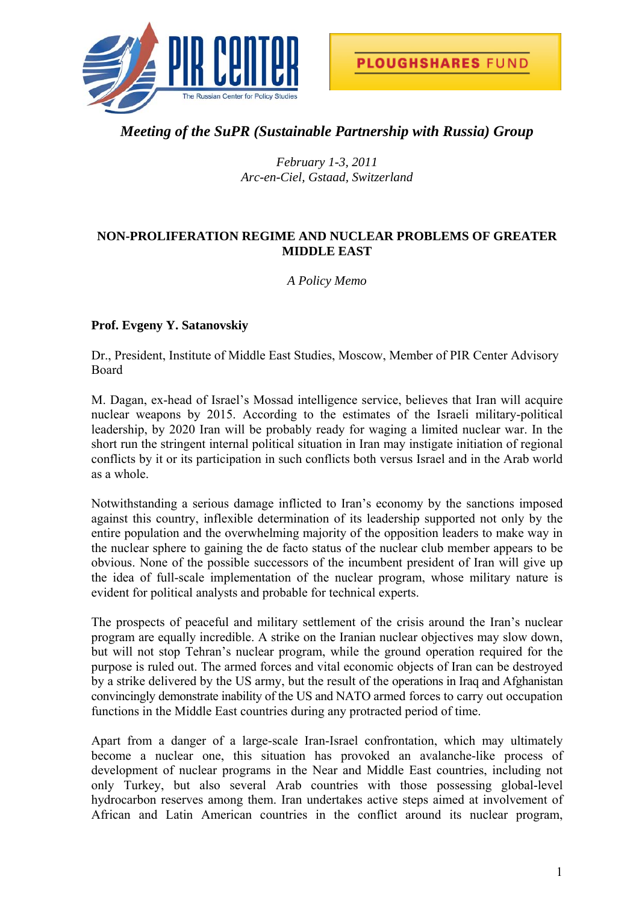



# *Meeting of the SuPR (Sustainable Partnership with Russia) Group*

*February 1-3, 2011 Arc-en-Ciel, Gstaad, Switzerland* 

## **NON-PROLIFERATION REGIME AND NUCLEAR PROBLEMS OF GREATER MIDDLE EAST**

*A Policy Memo* 

## **Prof. Evgeny Y. Satanovskiy**

Dr., President, Institute of Middle East Studies, Moscow, Member of PIR Center Advisory Board

M. Dagan, ex-head of Israel's Mossad intelligence service, believes that Iran will acquire nuclear weapons by 2015. According to the estimates of the Israeli military-political leadership, by 2020 Iran will be probably ready for waging a limited nuclear war. In the short run the stringent internal political situation in Iran may instigate initiation of regional conflicts by it or its participation in such conflicts both versus Israel and in the Arab world as a whole.

Notwithstanding a serious damage inflicted to Iran's economy by the sanctions imposed against this country, inflexible determination of its leadership supported not only by the entire population and the overwhelming majority of the opposition leaders to make way in the nuclear sphere to gaining the de facto status of the nuclear club member appears to be obvious. None of the possible successors of the incumbent president of Iran will give up the idea of full-scale implementation of the nuclear program, whose military nature is evident for political analysts and probable for technical experts.

The prospects of peaceful and military settlement of the crisis around the Iran's nuclear program are equally incredible. A strike on the Iranian nuclear objectives may slow down, but will not stop Tehran's nuclear program, while the ground operation required for the purpose is ruled out. The armed forces and vital economic objects of Iran can be destroyed by a strike delivered by the US army, but the result of the operations in Iraq and Afghanistan convincingly demonstrate inability of the US and NATO armed forces to carry out occupation functions in the Middle East countries during any protracted period of time.

Apart from a danger of a large-scale Iran-Israel confrontation, which may ultimately become a nuclear one, this situation has provoked an avalanche-like process of development of nuclear programs in the Near and Middle East countries, including not only Turkey, but also several Arab countries with those possessing global-level hydrocarbon reserves among them. Iran undertakes active steps aimed at involvement of African and Latin American countries in the conflict around its nuclear program,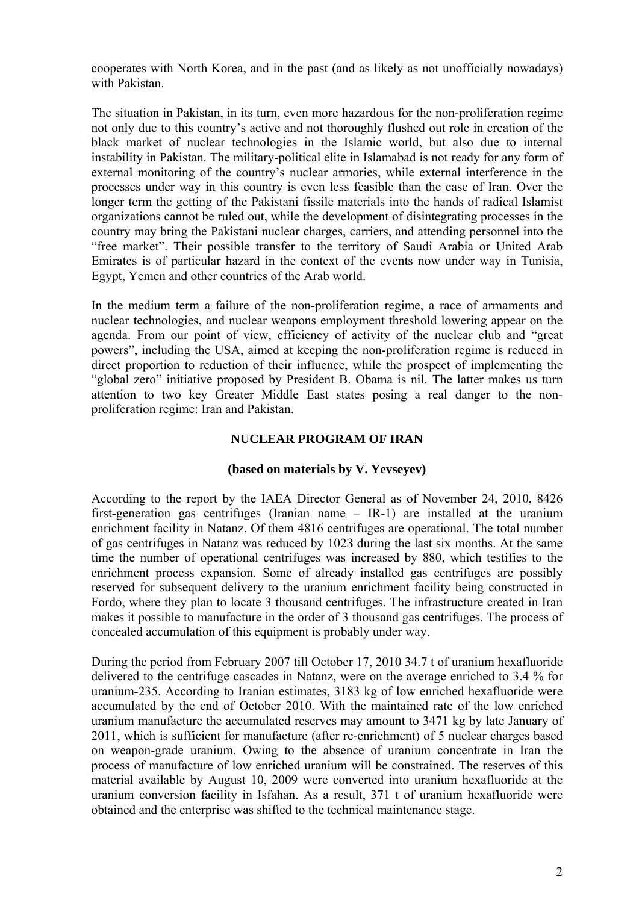cooperates with North Korea, and in the past (and as likely as not unofficially nowadays) with Pakistan.

The situation in Pakistan, in its turn, even more hazardous for the non-proliferation regime not only due to this country's active and not thoroughly flushed out role in creation of the black market of nuclear technologies in the Islamic world, but also due to internal instability in Pakistan. The military-political elite in Islamabad is not ready for any form of external monitoring of the country's nuclear armories, while external interference in the processes under way in this country is even less feasible than the case of Iran. Over the longer term the getting of the Pakistani fissile materials into the hands of radical Islamist organizations cannot be ruled out, while the development of disintegrating processes in the country may bring the Pakistani nuclear charges, carriers, and attending personnel into the "free market". Their possible transfer to the territory of Saudi Arabia or United Arab Emirates is of particular hazard in the context of the events now under way in Tunisia, Egypt, Yemen and other countries of the Arab world.

In the medium term a failure of the non-proliferation regime, a race of armaments and nuclear technologies, and nuclear weapons employment threshold lowering appear on the agenda. From our point of view, efficiency of activity of the nuclear club and "great powers", including the USA, aimed at keeping the non-proliferation regime is reduced in direct proportion to reduction of their influence, while the prospect of implementing the "global zero" initiative proposed by President B. Obama is nil. The latter makes us turn attention to two key Greater Middle East states posing a real danger to the nonproliferation regime: Iran and Pakistan.

## **NUCLEAR PROGRAM OF IRAN**

### **(based on materials by V. Yevseyev)**

According to the report by the IAEA Director General as of November 24, 2010, 8426 first-generation gas centrifuges (Iranian name – IR-1) are installed at the uranium enrichment facility in Natanz. Of them 4816 centrifuges are operational. The total number of gas centrifuges in Natanz was reduced by 102З during the last six months. At the same time the number of operational centrifuges was increased by 880, which testifies to the enrichment process expansion. Some of already installed gas centrifuges are possibly reserved for subsequent delivery to the uranium enrichment facility being constructed in Fordo, where they plan to locate 3 thousand centrifuges. The infrastructure created in Iran makes it possible to manufacture in the order of 3 thousand gas centrifuges. The process of concealed accumulation of this equipment is probably under way.

During the period from February 2007 till October 17, 2010 34.7 t of uranium hexafluoride delivered to the centrifuge cascades in Natanz, were on the average enriched to 3.4 % for uranium-235. According to Iranian estimates, 3183 kg of low enriched hexafluoride were accumulated by the end of October 2010. With the maintained rate of the low enriched uranium manufacture the accumulated reserves may amount to 3471 kg by late January of 2011, which is sufficient for manufacture (after re-enrichment) of 5 nuclear charges based on weapon-grade uranium. Owing to the absence of uranium concentrate in Iran the process of manufacture of low enriched uranium will be constrained. The reserves of this material available by August 10, 2009 were converted into uranium hexafluoride at the uranium conversion facility in Isfahan. As a result, 371 t of uranium hexafluoride were obtained and the enterprise was shifted to the technical maintenance stage.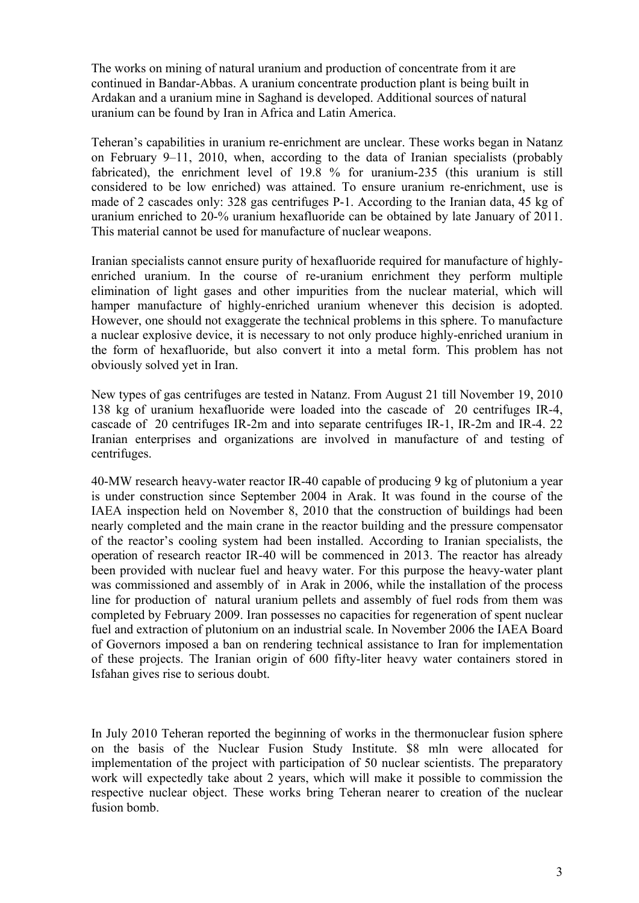The works on mining of natural uranium and production of concentrate from it are continued in Bandar-Abbas. A uranium concentrate production plant is being built in Ardakan and a uranium mine in Saghand is developed. Additional sources of natural uranium can be found by Iran in Africa and Latin America.

Teheran's capabilities in uranium re-enrichment are unclear. These works began in Natanz on February 9–11, 2010, when, according to the data of Iranian specialists (probably fabricated), the enrichment level of 19.8 % for uranium-235 (this uranium is still considered to be low enriched) was attained. To ensure uranium re-enrichment, use is made of 2 cascades only: 328 gas centrifuges Р-1. According to the Iranian data, 45 kg of uranium enriched to 20-% uranium hexafluoride can be obtained by late January of 2011. This material cannot be used for manufacture of nuclear weapons.

Iranian specialists cannot ensure purity of hexafluoride required for manufacture of highlyenriched uranium. In the course of re-uranium enrichment they perform multiple elimination of light gases and other impurities from the nuclear material, which will hamper manufacture of highly-enriched uranium whenever this decision is adopted. However, one should not exaggerate the technical problems in this sphere. To manufacture a nuclear explosive device, it is necessary to not only produce highly-enriched uranium in the form of hexafluoride, but also convert it into a metal form. This problem has not obviously solved yet in Iran.

New types of gas centrifuges are tested in Natanz. From August 21 till November 19, 2010 138 kg of uranium hexafluoride were loaded into the cascade of 20 centrifuges IR-4, cascade of 20 centrifuges IR-2m and into separate centrifuges IR-1, IR-2m and IR-4. 22 Iranian enterprises and organizations are involved in manufacture of and testing of centrifuges.

40-MW research heavy-water reactor IR-40 capable of producing 9 kg of plutonium a year is under construction since September 2004 in Arak. It was found in the course of the IAEA inspection held on November 8, 2010 that the construction of buildings had been nearly completed and the main crane in the reactor building and the pressure compensator of the reactor's cooling system had been installed. According to Iranian specialists, the operation of research reactor IR-40 will be commenced in 2013. The reactor has already been provided with nuclear fuel and heavy water. For this purpose the heavy-water plant was commissioned and assembly of in Arak in 2006, while the installation of the process line for production of natural uranium pellets and assembly of fuel rods from them was completed by February 2009. Iran possesses no capacities for regeneration of spent nuclear fuel and extraction of plutonium on an industrial scale. In November 2006 the IAEA Board of Governors imposed a ban on rendering technical assistance to Iran for implementation of these projects. The Iranian origin of 600 fifty-liter heavy water containers stored in Isfahan gives rise to serious doubt.

In July 2010 Teheran reported the beginning of works in the thermonuclear fusion sphere on the basis of the Nuclear Fusion Study Institute. \$8 mln were allocated for implementation of the project with participation of 50 nuclear scientists. The preparatory work will expectedly take about 2 years, which will make it possible to commission the respective nuclear object. These works bring Teheran nearer to creation of the nuclear fusion bomb.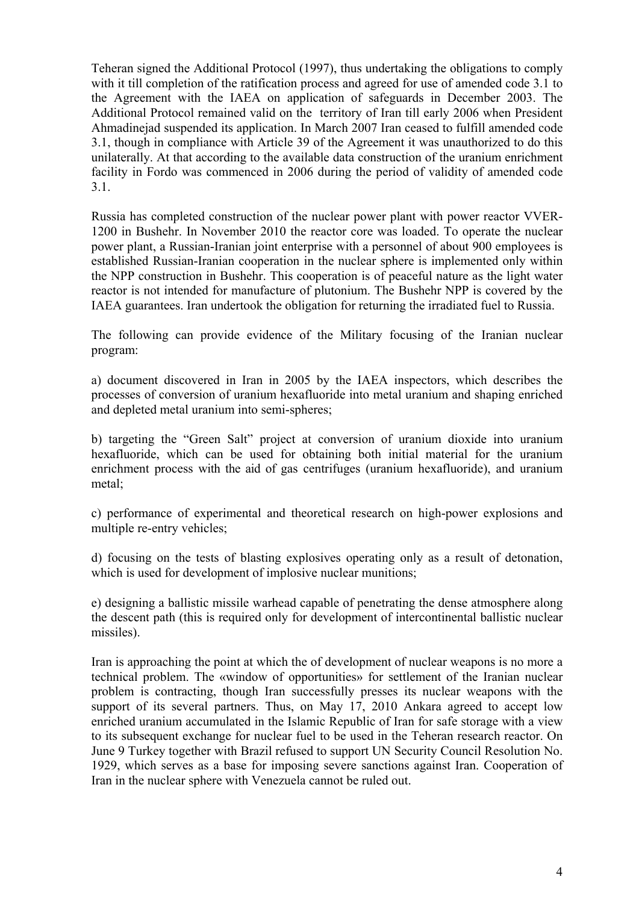Teheran signed the Additional Protocol (1997), thus undertaking the obligations to comply with it till completion of the ratification process and agreed for use of amended code 3.1 to the Agreement with the IAEA on application of safeguards in December 2003. The Additional Protocol remained valid on the territory of Iran till early 2006 when President Ahmadinejad suspended its application. In March 2007 Iran ceased to fulfill amended code 3.1, though in compliance with Article 39 of the Agreement it was unauthorized to do this unilaterally. At that according to the available data construction of the uranium enrichment facility in Fordo was commenced in 2006 during the period of validity of amended code 3.1.

Russia has completed construction of the nuclear power plant with power reactor VVER-1200 in Bushehr. In November 2010 the reactor core was loaded. To operate the nuclear power plant, a Russian-Iranian joint enterprise with a personnel of about 900 employees is established Russian-Iranian cooperation in the nuclear sphere is implemented only within the NPP construction in Bushehr. This cooperation is of peaceful nature as the light water reactor is not intended for manufacture of plutonium. The Bushehr NPP is covered by the IAEA guarantees. Iran undertook the obligation for returning the irradiated fuel to Russia.

The following can provide evidence of the Military focusing of the Iranian nuclear program:

a) document discovered in Iran in 2005 by the IAEA inspectors, which describes the processes of conversion of uranium hexafluoride into metal uranium and shaping enriched and depleted metal uranium into semi-spheres;

b) targeting the "Green Salt" project at conversion of uranium dioxide into uranium hexafluoride, which can be used for obtaining both initial material for the uranium enrichment process with the aid of gas centrifuges (uranium hexafluoride), and uranium metal;

c) performance of experimental and theoretical research on high-power explosions and multiple re-entry vehicles;

d) focusing on the tests of blasting explosives operating only as a result of detonation, which is used for development of implosive nuclear munitions;

e) designing a ballistic missile warhead capable of penetrating the dense atmosphere along the descent path (this is required only for development of intercontinental ballistic nuclear missiles).

Iran is approaching the point at which the of development of nuclear weapons is no more a technical problem. The «window of opportunities» for settlement of the Iranian nuclear problem is contracting, though Iran successfully presses its nuclear weapons with the support of its several partners. Thus, on May 17, 2010 Ankara agreed to accept low enriched uranium accumulated in the Islamic Republic of Iran for safe storage with a view to its subsequent exchange for nuclear fuel to be used in the Teheran research reactor. On June 9 Turkey together with Brazil refused to support UN Security Council Resolution No. 1929, which serves as a base for imposing severe sanctions against Iran. Cooperation of Iran in the nuclear sphere with Venezuela cannot be ruled out.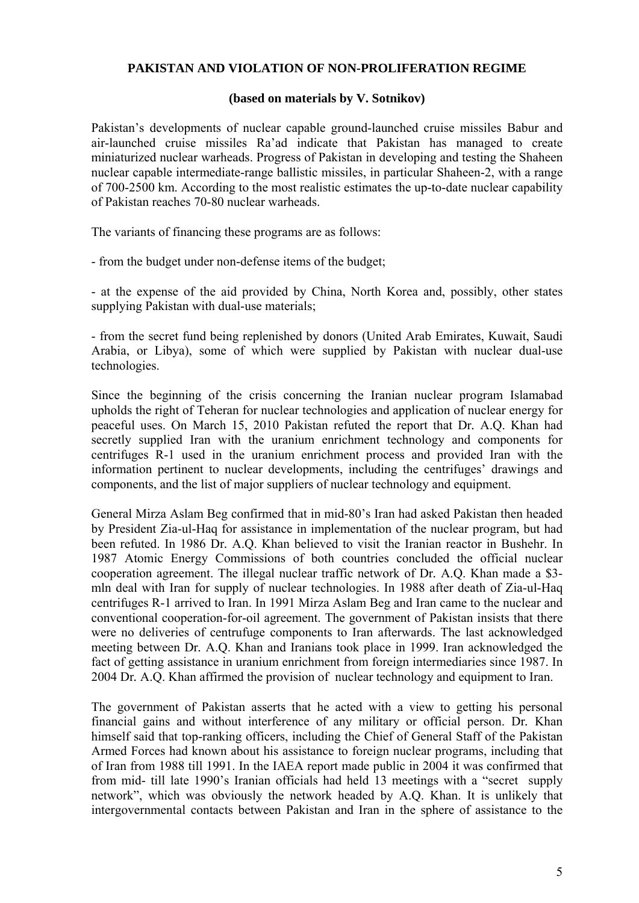### **PAKISTAN AND VIOLATION OF NON-PROLIFERATION REGIME**

### **(based on materials by V. Sotnikov)**

Pakistan's developments of nuclear capable ground-launched cruise missiles Babur and air-launched cruise missiles Ra'ad indicate that Pakistan has managed to create miniaturized nuclear warheads. Progress of Pakistan in developing and testing the Shaheen nuclear capable intermediate-range ballistic missiles, in particular Shaheen-2, with a range of 700-2500 km. According to the most realistic estimates the up-to-date nuclear capability of Pakistan reaches 70-80 nuclear warheads.

The variants of financing these programs are as follows:

- from the budget under non-defense items of the budget;

- at the expense of the aid provided by China, North Korea and, possibly, other states supplying Pakistan with dual-use materials;

- from the secret fund being replenished by donors (United Arab Emirates, Kuwait, Saudi Arabia, or Libya), some of which were supplied by Pakistan with nuclear dual-use technologies.

Since the beginning of the crisis concerning the Iranian nuclear program Islamabad upholds the right of Teheran for nuclear technologies and application of nuclear energy for peaceful uses. On March 15, 2010 Pakistan refuted the report that Dr*.* A.Q. Khan had secretly supplied Iran with the uranium enrichment technology and components for centrifuges R-1 used in the uranium enrichment process and provided Iran with the information pertinent to nuclear developments, including the centrifuges' drawings and components, and the list of major suppliers of nuclear technology and equipment.

General Mirza Aslam Beg confirmed that in mid-80's Iran had asked Pakistan then headed by President Zia-ul-Haq for assistance in implementation of the nuclear program, but had been refuted. In 1986 Dr*.* A.Q. Khan believed to visit the Iranian reactor in Bushehr. In 1987 Atomic Energy Commissions of both countries concluded the official nuclear cooperation agreement. The illegal nuclear traffic network of Dr*.* A.Q. Khan made a \$3 mln deal with Iran for supply of nuclear technologies. In 1988 after death of Zia-ul-Haq centrifuges R-1 arrived to Iran. In 1991 Mirza Aslam Beg and Iran came to the nuclear and conventional cooperation-for-oil agreement. The government of Pakistan insists that there were no deliveries of centrufuge components to Iran afterwards. The last acknowledged meeting between Dr*.* A.Q. Khan and Iranians took place in 1999. Iran acknowledged the fact of getting assistance in uranium enrichment from foreign intermediaries since 1987. In 2004 Dr*.* A.Q. Khan affirmed the provision of nuclear technology and equipment to Iran.

The government of Pakistan asserts that he acted with a view to getting his personal financial gains and without interference of any military or official person. Dr*.* Khan himself said that top-ranking officers, including the Chief of General Staff of the Pakistan Armed Forces had known about his assistance to foreign nuclear programs, including that of Iran from 1988 till 1991. In the IAEA report made public in 2004 it was confirmed that from mid- till late 1990's Iranian officials had held 13 meetings with a "secret supply network", which was obviously the network headed by A.Q. Khan. It is unlikely that intergovernmental contacts between Pakistan and Iran in the sphere of assistance to the